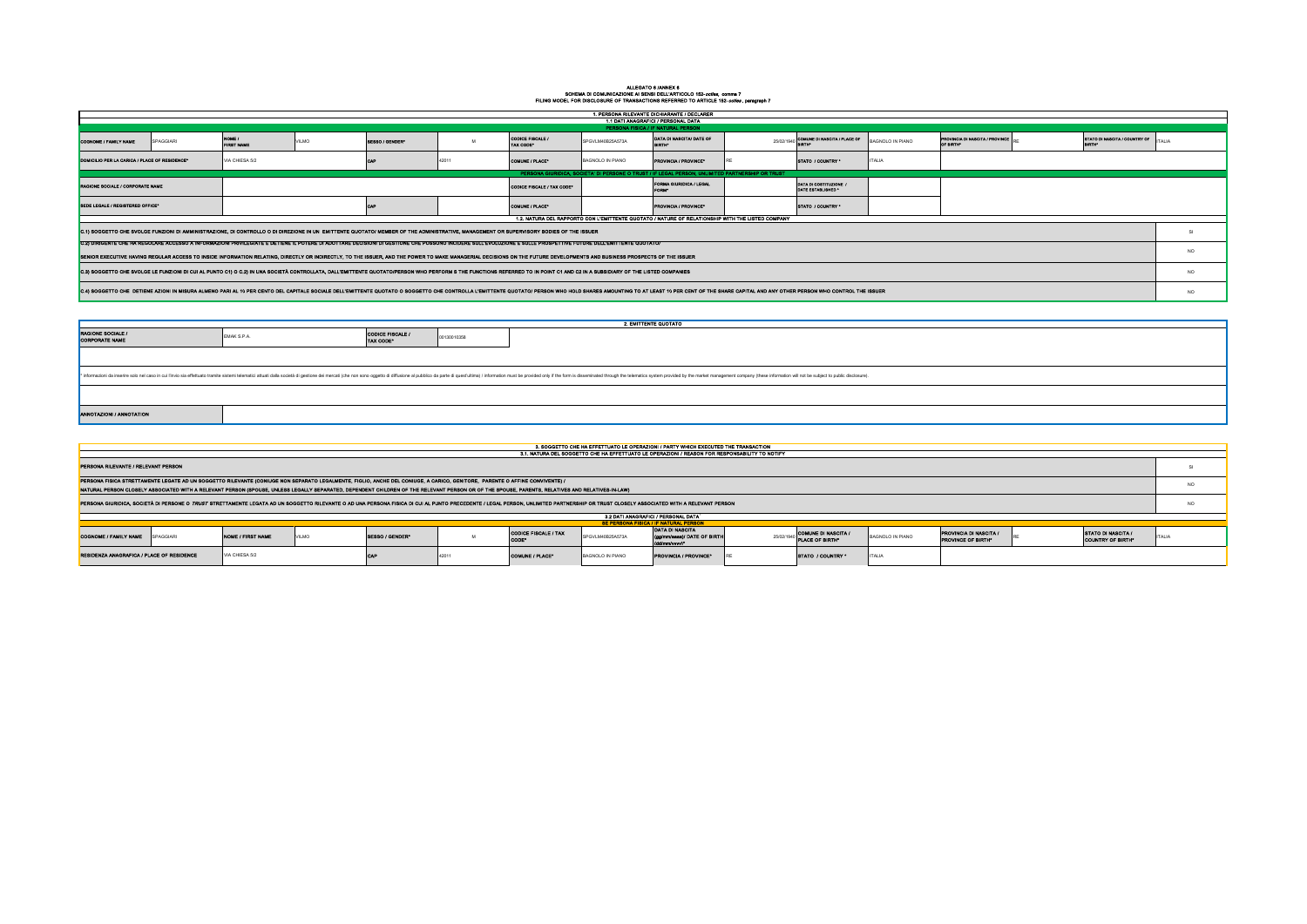## ALLEGATO 6 /ANNEX 6<br>SCHEMA DI COMUNICAZIONE AI SENSI DELL'ARTICOLO 152-*octies*, comma 7<br>FILING MODEL FOR DISCLOSURE OF TRANSACTIONS REFERRED TO ARTICLE 152-*octies* , paragraph 7

| 1. PERSONA RILEVANTE DICHIARANTE / DECLARER                                                                                                                                                                                  |           |                             |       |                 |       |                                   |                  |                                                                                                                                                                                                                                |  |                                           |                  |                                              |                 |  |    |
|------------------------------------------------------------------------------------------------------------------------------------------------------------------------------------------------------------------------------|-----------|-----------------------------|-------|-----------------|-------|-----------------------------------|------------------|--------------------------------------------------------------------------------------------------------------------------------------------------------------------------------------------------------------------------------|--|-------------------------------------------|------------------|----------------------------------------------|-----------------|--|----|
| 1.1 DATI ANAGRAFICI / PERSONAL DATA<br>PERSONA FISICA / IF NATURAL PERSON                                                                                                                                                    |           |                             |       |                 |       |                                   |                  |                                                                                                                                                                                                                                |  |                                           |                  |                                              |                 |  |    |
| COGNOME / FAMILY NAME                                                                                                                                                                                                        | SPAGGIARI | NOME /<br><b>FIRST NAME</b> | VILMO | SEBBO / GENDER® |       | CODICE FISCALE /<br>TAX CODE*     | SPGVLM40B25A573A | DATA DI NASCITA/ DATE OF<br><b>RIRTH</b> *                                                                                                                                                                                     |  | 25/02/1940 COMUNE DI MASCITA / PLACE OF   | BAGNOLO IN PIANO | PROVINCIA DI NASCITA / PROVINCE<br>OF BIRTH® | <b>ITALIA</b>   |  |    |
| DOMICILIO PER LA CARICA / PLACE OF RESIDENCE <sup>®</sup>                                                                                                                                                                    |           | VIA CHIESA 5/2              |       |                 | 42011 | COMUNE / PLACE®                   | BAGNOLO IN PIANO | PROVINCIA / PROVINCE®                                                                                                                                                                                                          |  | <b>STATO / COUNTRY</b>                    | <b>ITALIA</b>    |                                              |                 |  |    |
|                                                                                                                                                                                                                              |           |                             |       |                 |       |                                   |                  | PERSONA GIURIDICA, SOCIETA' DI PERSONE O TRUST / IF LEGAL PERSON, UNLIMITED PARTNERSHIP OR TRUST                                                                                                                               |  |                                           |                  |                                              |                 |  |    |
| <b>RAGIONE SOCIALE / CORPORATE NAME</b>                                                                                                                                                                                      |           |                             |       |                 |       | <b>CODICE FISCALE / TAX CODE*</b> |                  | FORMA GIURIDICA / LEGAL<br><b>FORM®</b>                                                                                                                                                                                        |  | DATA DI COSTITUZIONE<br>DATE BSTABLISHED* |                  |                                              |                 |  |    |
| SEDE LEGALE / REGISTERED OFFICE*                                                                                                                                                                                             |           |                             |       |                 |       | COMUNE / PLACE®                   |                  | PROVINCIA / PROVINCE®                                                                                                                                                                                                          |  | <b>STATO / COUNTRY</b>                    |                  |                                              |                 |  |    |
|                                                                                                                                                                                                                              |           |                             |       |                 |       |                                   |                  | 1.2. NATURA DEL RAPPORTO CON L'EMITTENTE QUOTATO / NATURE OF RELATIONSHIP WITH THE LISTED COMPANY                                                                                                                              |  |                                           |                  |                                              |                 |  |    |
| C.1) SOGGETTO CHE SVOLGE FUNZIONI DI AMMINISTRAZIONE, DI CONTROLLO O DI DIREZIONE IN UN EMITTENTE QUOTATO/ MEMBER OF THE ADMINISTRATIVE, MANAGEMENT OR SUPERVISORY BODIES OF THE ISSUER                                      |           |                             |       |                 |       |                                   |                  |                                                                                                                                                                                                                                |  |                                           |                  |                                              |                 |  |    |
| C.2) DIRIGENTE CHE HA REGOLARE ACCESSO A INFORMAZIONI PRIVILEGIATE E DETIENE IL POTERE DI ADOTTARE DECISIONI DI GESTIONE CHE POSSONO INCIDERE SULL'EVOLUZIONE E SULLE PROSPETTIVE FUTURE DELL'EMITTENTE QUOTATO/             |           |                             |       |                 |       |                                   |                  |                                                                                                                                                                                                                                |  |                                           |                  |                                              |                 |  |    |
| SENIOR EXECUTIVE HAVING REGULAR ACCESS TO INSIDE INFORMATION RELATING. DIRECTLY OR INDIRECTLY. TO THE ISSUER, AND THE POWER TO MAKE MANAGERIAL DECISIONS ON THE FUTURE DEVELOPMENTS AND BUSINESS PROSPECTS OF THE ISSUER     |           |                             |       |                 |       |                                   |                  |                                                                                                                                                                                                                                |  |                                           |                  |                                              | NO <sub>1</sub> |  |    |
| C.3) SOGGETTO CHE SVOLGE LE FUNZIONI DI CUI AL PUNTO C1) O C.2) IN UNA SOCIETÀ CONTROLLATA, DALL'EMITTENTE QUOTATO/PERSON WHO PERFORM S THE FUNCTIONS REFERRED TO IN POINT C1 AND C2 IN A SUBSIDIARY OF THE LISTED COMPANIES |           |                             |       |                 |       |                                   |                  |                                                                                                                                                                                                                                |  |                                           |                  |                                              |                 |  | NO |
|                                                                                                                                                                                                                              |           |                             |       |                 |       |                                   |                  | C.4) SOGGETTO CHE DETIENE AZIONI IN MISURA ALMENO PARI AL 10 PER CENTO DEL CAPITALE SOCIALE DELL'EMITTENTE QUOTATO O SOGGETTO CHE CONTROLLA L'EMITTENTE QUOTATO PERSON WHO HOLD SHARES AMOUNTING TO AT LEAST 10 PER CENT OF TH |  |                                           |                  |                                              |                 |  | NO |

| <b>2. EMITTENTE QUOTATO</b>                                                                                                                                                                                                    |             |                                           |             |  |  |  |  |  |  |  |  |  |
|--------------------------------------------------------------------------------------------------------------------------------------------------------------------------------------------------------------------------------|-------------|-------------------------------------------|-------------|--|--|--|--|--|--|--|--|--|
| <b>RAGIONE SOCIALE /<br/>CORPORATE NAME</b>                                                                                                                                                                                    | EMAK S.P.A. | CODICE FISCALE /<br>TAX CODE <sup>®</sup> | 00130010358 |  |  |  |  |  |  |  |  |  |
|                                                                                                                                                                                                                                |             |                                           |             |  |  |  |  |  |  |  |  |  |
| * informazioni da inserire solo nel caso in cui l'invio sia effettuato tramite istami telematici attuati dalla società di gestione dei mercati (che non sono oggetto di diffusione al pubblico da parte di quest'ultima) / inf |             |                                           |             |  |  |  |  |  |  |  |  |  |
|                                                                                                                                                                                                                                |             |                                           |             |  |  |  |  |  |  |  |  |  |
| ANNOTAZIONI / ANNOTATION                                                                                                                                                                                                       |             |                                           |             |  |  |  |  |  |  |  |  |  |

| 3. SOGGETTO CHE HA EFFETTUATO LE OPERAZIONI / PARTY WHICH EXECUTED THE TRANSACTION                                                                                                                                             |          |                          |              |                       |  |                                     |                  |                                                |  |                                        |                         |                                              |                 |                                                       |               |
|--------------------------------------------------------------------------------------------------------------------------------------------------------------------------------------------------------------------------------|----------|--------------------------|--------------|-----------------------|--|-------------------------------------|------------------|------------------------------------------------|--|----------------------------------------|-------------------------|----------------------------------------------|-----------------|-------------------------------------------------------|---------------|
| 3.1. NATURA DEL SOGGETTO CHE HA EFFETTUATO LE OPERAZIONI / REASON FOR RESPONSABILITY TO NOTIFY                                                                                                                                 |          |                          |              |                       |  |                                     |                  |                                                |  |                                        |                         |                                              |                 |                                                       |               |
| PERSONA RILEVANTE / RELEVANT PERSON                                                                                                                                                                                            |          |                          |              |                       |  |                                     |                  |                                                |  |                                        |                         |                                              |                 |                                                       |               |
| PERSONA FISICA STRETTAMENTE LEGATE AD UN SOGGETTO RILEVANTE (CONIUGE NON SEPARATO LEGALMENTE, FIGLIO, ANCHE DEL CONIUGE, A CARICO, GENITORE, PARENTE O AFFINE CONVIVENTE) /                                                    |          |                          |              |                       |  |                                     |                  |                                                |  |                                        |                         |                                              | NO <sub>1</sub> |                                                       |               |
| NATURAL PERSON CLOSELY ASSOCIATED WITH A RELEVANT PERSON (SPOUSE, UNLESS LEGALLY SEPARATED, DEPENDENT CHILDREN OF THE RELEVANT PERSON OR OF THE SPOUSE, PARENTS, RELATIVES AND RELATIVES-IN-LAW)                               |          |                          |              |                       |  |                                     |                  |                                                |  |                                        |                         |                                              |                 |                                                       |               |
| PERSONA GIURIDICA, SOCIETÀ DI PERSONE O TRUST STRETTAMENTE LEGATA AD UN SOGGETTO RILEVANTE O AD UNA PERSONA FISICA DI CUI AL PUNTO PRECEDENTE / LEGAL PERSON, UNLIMITED PARTNERSHIP OR TRUST CLOSELY ASSOCIATED WITH A RELEVAN |          |                          |              |                       |  |                                     |                  |                                                |  |                                        |                         | NO                                           |                 |                                                       |               |
| 3.2 DATI ANAGRAFICI / PERSONAL DATA                                                                                                                                                                                            |          |                          |              |                       |  |                                     |                  |                                                |  |                                        |                         |                                              |                 |                                                       |               |
|                                                                                                                                                                                                                                |          |                          |              |                       |  |                                     |                  | <b>8E PERSONA FISICA / IF NATURAL PERSON</b>   |  |                                        |                         |                                              |                 |                                                       |               |
| <b>COGNOME / FAMILY NAME</b>                                                                                                                                                                                                   | PAGGIARI | <b>NOME / FIRST NAME</b> | <b>VILMO</b> | <b>SESSO / GENDER</b> |  | <b>CODICE FISCALE / TAX</b><br>CODE | SPGVLM40B25A573A | DATA DI NASCITA<br>(gg/mm/sass)/ DATE OF BIRTH |  | COMUNE DI NASCITA /<br>PLACE OF BIRTH® | <b>BAGNOLO IN PIANO</b> | PROVINCIA DI NASCITA /<br>PROVINCE OF BIRTH® |                 | <b>STATO DI NASCITA /</b><br><b>COUNTRY OF BIRTH®</b> | <b>ITALIA</b> |

**CAP 42011 COMUNE / PLACE\* BAGNOLO IN PIANO PROVINCIA / PROVINCE\*** RE **STATO / COUNTRY \*** ITALIA

RESIDENZA ANAGRAFICA / PLACE OF RESIDENCE VIA CHIESA 5/2